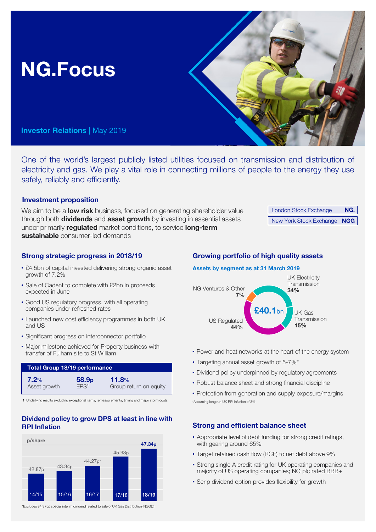# NG.Focus

Investor Relations | May 2019

One of the world's largest publicly listed utilities focused on transmission and distribution of electricity and gas. We play a vital role in connecting millions of people to the energy they use safely, reliably and efficiently.

## Investment proposition

We aim to be a **low risk** business, focused on generating shareholder value through both **dividends** and **asset growth** by investing in essential assets under primarily regulated market conditions, to service long-term sustainable consumer-led demands

| <b>London Stock Exchange</b> | NG. |
|------------------------------|-----|
| New York Stock Exchange NGG  |     |

## Strong strategic progress in 2018/19

- £4.5bn of capital invested delivering strong organic asset growth of 7.2%
- Sale of Cadent to complete with £2bn in proceeds expected in June
- Good US regulatory progress, with all operating companies under refreshed rates
- Launched new cost efficiency programmes in both UK and US
- Significant progress on interconnector portfolio
- Major milestone achieved for Property business with transfer of Fulham site to St William

| <b>Total Group 18/19 performance</b> |                   |                        |  |
|--------------------------------------|-------------------|------------------------|--|
| 7.2%                                 | 58.9 <sub>p</sub> | 11.8%                  |  |
| Asset growth                         | EPS <sup>1</sup>  | Group return on equity |  |

1. Underlying results excluding exceptional items, remeasurements, timing and major storm costs

## Dividend policy to grow DPS at least in line with RPI Inflation



#### \*Excludes 84.375p special interim dividend related to sale of UK Gas Distribution (NGGD)

## Growing portfolio of high quality assets

## Assets by segment as at 31 March 2019



- Power and heat networks at the heart of the energy system
- Targeting annual asset growth of 5-7%\*
- Dividend policy underpinned by regulatory agreements
- Robust balance sheet and strong financial discipline
- \*Assuming long run UK RPI Inflation of 3% • Protection from generation and supply exposure/margins

## Strong and efficient balance sheet

- Appropriate level of debt funding for strong credit ratings, with gearing around 65%
- Target retained cash flow (RCF) to net debt above 9%
- Strong single A credit rating for UK operating companies and majority of US operating companies; NG plc rated BBB+
- Scrip dividend option provides flexibility for growth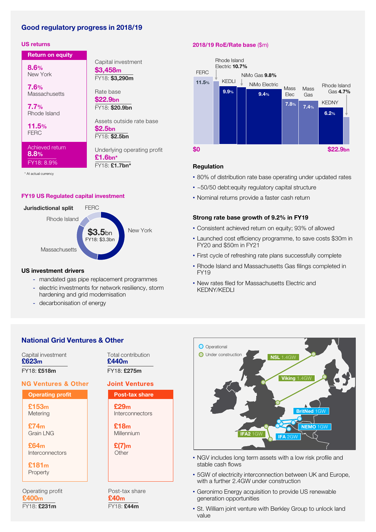## Good regulatory progress in 2018/19

## US returns

New York 8.6%

**Return on equity** 

**Massachusetts** 7.6%

Rhode Island 7.7%

**FERC** 11.5%

Achieved return 8.8% FY18: 8.9%

\$3,458m FY18: \$3,290m Capital investment FY18: \$20.9bn Rate base \$22.9bn FY18: \$2.5bn Assets outside rate base \$2.5bn Underlying operating profit £1.6bn\*

FY18: £1.7bn\*

\* At actual currency

#### FY19 US Regulated capital investment



#### US investment drivers

- mandated gas pipe replacement programmes
- electric investments for network resiliency, storm hardening and grid modernisation
- decarbonisation of energy

## National Grid Ventures & Other

Capital investment £623m FY18: £518m

## NG Ventures & Other

Operating profit Metering £153m

Grain LNG £74m

Interconnectors £64m

Property £181m

FY18: £231m Operating profit £400m

Post-tax share Interconnectors £29m Millennium £18m Joint Ventures Total contribution £440m FY18: £275m

> **Other** £(7)m

**FY18: £44m** Post-tax share £40m

## 2018/19 RoE/Rate base (\$m)



#### Regulation

- 80% of distribution rate base operating under updated rates
- ~50/50 debt:equity regulatory capital structure
- Nominal returns provide a faster cash return

## Strong rate base growth of 9.2% in FY19

- Consistent achieved return on equity; 93% of allowed
- Launched cost efficiency programme, to save costs \$30m in FY20 and \$50m in FY21
- First cycle of refreshing rate plans successfully complete
- Rhode Island and Massachusetts Gas filings completed in FY19
- New rates filed for Massachusetts Electric and KEDNY/KEDLI



- NGV includes long term assets with a low risk profile and stable cash flows
- 5GW of electricity interconnection between UK and Europe, with a further 2.4GW under construction
- Geronimo Energy acquisition to provide US renewable generation opportunities
- St. William joint venture with Berkley Group to unlock land value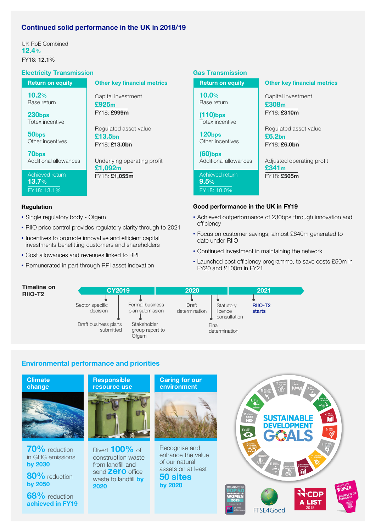## Continued solid performance in the UK in 2018/19

UK RoE Combined 12.4% FY18: 12.1%

## Electricity Transmission

| <b>Return on equity</b>                    | <b>Other key financial metrics</b>                |
|--------------------------------------------|---------------------------------------------------|
| 10.2%<br>Base return                       | Capital investment<br>£925m<br>FY18: £999m        |
| 230bps                                     |                                                   |
| Totex incentive                            |                                                   |
| 50 <sub>bps</sub><br>Other incentives      | Regulated asset value<br>£13.5bn<br>FY18: £13.0bn |
| 70 <sub>bps</sub><br>Additional allowances | Underlying operating profit<br>£1,092m            |
| Achieved return<br>13.7%                   | FY18: £1,055m                                     |
| FY18: 13.1%                                |                                                   |

#### Regulation

- Single regulatory body Ofgem
- RIIO price control provides regulatory clarity through to 2021
- Incentives to promote innovative and efficient capital investments benefitting customers and shareholders
- Cost allowances and revenues linked to RPI
- Remunerated in part through RPI asset indexation

#### Gas Transmission

| <b>Return on equity</b>                | <b>Other key financial metrics</b>                          |
|----------------------------------------|-------------------------------------------------------------|
| 10.0%<br>Base return                   | Capital investment<br>£308 <sub>m</sub>                     |
| $(110)$ bps<br>Totex incentive         | FY18: £310m                                                 |
| 120 <sub>bps</sub><br>Other incentives | Regulated asset value<br>£6.2 <sub>bn</sub><br>FY18: £6.0bn |
| $(60)$ bps<br>Additional allowances    | Adjusted operating profit<br>£341m                          |
| Achieved return<br>9.5%                | FY18: £505m                                                 |
| FY18: 10.0%                            |                                                             |
|                                        | Good porformance in the LIK in EV10                         |

#### Good performance in the UK in FY19

- Achieved outperformance of 230bps through innovation and efficiency
- Focus on customer savings; almost £640m generated to date under RIIO
- Continued investment in maintaining the network
- Launched cost efficiency programme, to save costs £50m in FY20 and £100m in FY21

| meline on<br><b>IO-T2</b> | CY2019                            |                                         | 2020                   |                                      | 2021                          |
|---------------------------|-----------------------------------|-----------------------------------------|------------------------|--------------------------------------|-------------------------------|
|                           | Sector specific<br>decision       | Formal business<br>plan submission      | Draft<br>determination | Statutory<br>licence<br>consultation | RIIO-T <sub>2</sub><br>starts |
|                           | Draft business plans<br>submitted | Stakeholder<br>group report to<br>Ofgem |                        | Final<br>determination               |                               |

## Environmental performance and priorities



## Timeline on

 $R<sub>l</sub>$ 

**Climate** change



70% reduction in GHG emissions by 2030

by 2050

**68%** reduction achieved in FY19